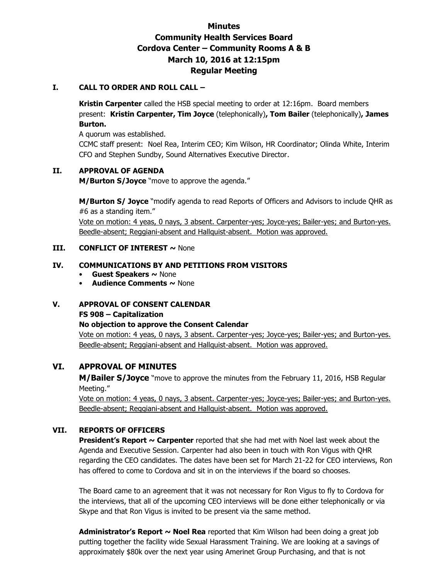# **Minutes Community Health Services Board Cordova Center – Community Rooms A & B March 10, 2016 at 12:15pm Regular Meeting**

### **I. CALL TO ORDER AND ROLL CALL –**

**Kristin Carpenter** called the HSB special meeting to order at 12:16pm. Board members present: **Kristin Carpenter, Tim Joyce** (telephonically)**, Tom Bailer** (telephonically)**, James Burton.** 

A quorum was established.

CCMC staff present: Noel Rea, Interim CEO; Kim Wilson, HR Coordinator; Olinda White, Interim CFO and Stephen Sundby, Sound Alternatives Executive Director.

### **II. APPROVAL OF AGENDA**

**M/Burton S/Joyce** "move to approve the agenda."

**M/Burton S/ Joyce** "modify agenda to read Reports of Officers and Advisors to include QHR as #6 as a standing item."

Vote on motion: 4 yeas, 0 nays, 3 absent. Carpenter-yes; Joyce-yes; Bailer-yes; and Burton-yes. Beedle-absent; Reggiani-absent and Hallquist-absent. Motion was approved.

### **III. CONFLICT OF INTEREST ~ None**

### **IV. COMMUNICATIONS BY AND PETITIONS FROM VISITORS**

- **Guest Speakers ~** None
- **Audience Comments ~** None

# **V. APPROVAL OF CONSENT CALENDAR**

### **FS 908 – Capitalization**

### **No objection to approve the Consent Calendar**

Vote on motion: 4 yeas, 0 nays, 3 absent. Carpenter-yes; Joyce-yes; Bailer-yes; and Burton-yes. Beedle-absent; Reggiani-absent and Hallquist-absent. Motion was approved.

# **VI. APPROVAL OF MINUTES**

**M/Bailer S/Joyce** "move to approve the minutes from the February 11, 2016, HSB Regular Meeting."

Vote on motion: 4 yeas, 0 nays, 3 absent. Carpenter-yes; Joyce-yes; Bailer-yes; and Burton-yes. Beedle-absent; Reggiani-absent and Hallquist-absent. Motion was approved.

# **VII. REPORTS OF OFFICERS**

**President's Report ~ Carpenter** reported that she had met with Noel last week about the Agenda and Executive Session. Carpenter had also been in touch with Ron Vigus with QHR regarding the CEO candidates. The dates have been set for March 21-22 for CEO interviews, Ron has offered to come to Cordova and sit in on the interviews if the board so chooses.

The Board came to an agreement that it was not necessary for Ron Vigus to fly to Cordova for the interviews, that all of the upcoming CEO interviews will be done either telephonically or via Skype and that Ron Vigus is invited to be present via the same method.

**Administrator's Report ~ Noel Rea** reported that Kim Wilson had been doing a great job putting together the facility wide Sexual Harassment Training. We are looking at a savings of approximately \$80k over the next year using Amerinet Group Purchasing, and that is not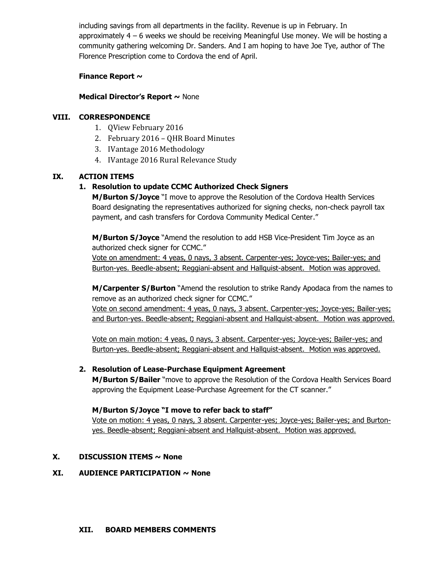including savings from all departments in the facility. Revenue is up in February. In approximately 4 – 6 weeks we should be receiving Meaningful Use money. We will be hosting a community gathering welcoming Dr. Sanders. And I am hoping to have Joe Tye, author of The Florence Prescription come to Cordova the end of April.

### **Finance Report ~**

### **Medical Director's Report ~** None

### **VIII. CORRESPONDENCE**

- 1. QView February 2016
- 2. February 2016 QHR Board Minutes
- 3. IVantage 2016 Methodology
- 4. IVantage 2016 Rural Relevance Study

### **IX. ACTION ITEMS**

### **1. Resolution to update CCMC Authorized Check Signers**

**M/Burton S/Joyce** "I move to approve the Resolution of the Cordova Health Services Board designating the representatives authorized for signing checks, non-check payroll tax payment, and cash transfers for Cordova Community Medical Center."

**M/Burton S/Joyce** "Amend the resolution to add HSB Vice-President Tim Joyce as an authorized check signer for CCMC."

Vote on amendment: 4 yeas, 0 nays, 3 absent. Carpenter-yes; Joyce-yes; Bailer-yes; and Burton-yes. Beedle-absent; Reggiani-absent and Hallquist-absent. Motion was approved.

**M/Carpenter S/Burton** "Amend the resolution to strike Randy Apodaca from the names to remove as an authorized check signer for CCMC."

Vote on second amendment: 4 yeas, 0 nays, 3 absent. Carpenter-yes; Joyce-yes; Bailer-yes; and Burton-yes. Beedle-absent; Reggiani-absent and Hallquist-absent. Motion was approved.

Vote on main motion: 4 yeas, 0 nays, 3 absent. Carpenter-yes; Joyce-yes; Bailer-yes; and Burton-yes. Beedle-absent; Reggiani-absent and Hallquist-absent. Motion was approved.

### **2. Resolution of Lease-Purchase Equipment Agreement**

**M/Burton S/Bailer** "move to approve the Resolution of the Cordova Health Services Board approving the Equipment Lease-Purchase Agreement for the CT scanner."

### **M/Burton S/Joyce "I move to refer back to staff"**

Vote on motion: 4 yeas, 0 nays, 3 absent. Carpenter-yes; Joyce-yes; Bailer-yes; and Burtonyes. Beedle-absent; Reggiani-absent and Hallquist-absent. Motion was approved.

### **X. DISCUSSION ITEMS ~ None**

### **XI. AUDIENCE PARTICIPATION ~ None**

#### **XII. BOARD MEMBERS COMMENTS**